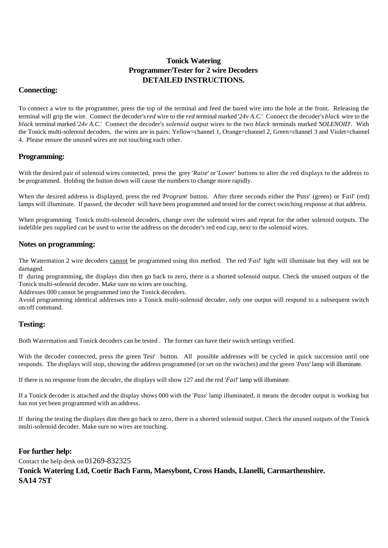## **Tonick Watering Programmer/Tester for 2 wire Decoders DETAILED INSTRUCTIONS.**

### **Connecting:**

To connect a wire to the programmer, press the top of the terminal and feed the bared wire into the hole at the front. Releasing the terminal will grip the wire. Connect the decoder's *red* wire to the *red* terminal marked '*24v A.C.*' Connect the decoder's *black* wire to the *black* terminal marked '*24v A.C.*' Connect the decoder's *solenoid output* wires to the two *black* terminals marked '*SOLENOID*'. With the Tonick multi-solenoid decoders, the wires are in pairs: Yellow=channel 1, Orange=channel 2, Green=channel 3 and Violet=channel 4. Please ensure the unused wires are not touching each other.

### **Programming:**

With the desired pair of solenoid wires connected, press the grey '*Raise*' or '*Lower*' buttons to alter the red displays to the address to be programmed. Holding the button down will cause the numbers to change more rapidly.

When the desired address is displayed, press the red '*Program*' button. After three seconds either the '*Pass*' (green) or '*Fail*' (red) lamps will illuminate. If passed, the decoder will have been programmed and tested for the correct switching response at that address.

When programming Tonick multi-solenoid decoders, change over the solenoid wires and repeat for the other solenoid outputs. The indelible pen supplied can be used to write the address on the decoder's red end cap, next to the solenoid wires.

#### **Notes on programming:**

The Watermation 2 wire decoders cannot be programmed using this method. The red '*Fail*' light will illuminate but they will not be damaged.

If during programming, the displays dim then go back to zero, there is a shorted solenoid output. Check the unused outputs of the Tonick multi-solenoid decoder. Make sure no wires are touching.

Addresses 000 cannot be programmed into the Tonick decoders.

Avoid programming identical addresses into a Tonick multi-solenoid decoder, only one output will respond to a subsequent switch on/off command.

### **Testing:**

Both Watermation and Tonick decoders can be tested . The former can have their switch settings verified.

With the decoder connected, press the green *Test'* button. All possible addresses will be cycled in quick succession until one responds. The displays will stop, showing the address programmed (or set on the switches) and the green '*Pass*' lamp will illuminate.

If there is no response from the decoder, the displays will show 127 and the red '*Fail*' lamp will illuminate.

If a Tonick decoder is attached and the display shows 000 with the '*Pass*' lamp illuminated, it means the decoder output is working but has not yet been programmed with an address.

If during the testing the displays dim then go back to zero, there is a shorted solenoid output. Check the unused outputs of the Tonick multi-solenoid decoder. Make sure no wires are touching.

#### **For further help:**

Contact the help desk on 01269-832325

### **Tonick Watering Ltd, Coetir Bach Farm, Maesybont, Cross Hands, Llanelli, Carmarthenshire. SA14 7ST**